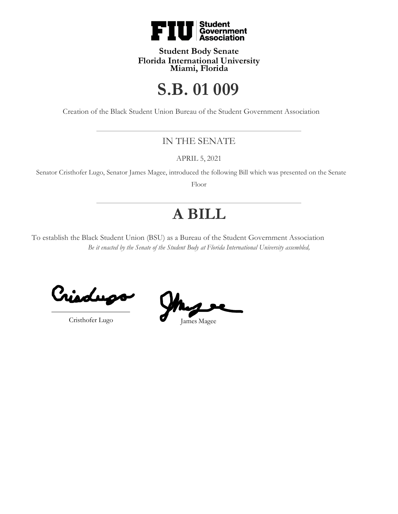

## **Student Body Senate Florida International University Miami, Florida**

# **S.B. 01 009**

Creation of the Black Student Union Bureau of the Student Government Association

### IN THE SENATE

APRIL 5, 2021

Senator Cristhofer Lugo, Senator James Magee, introduced the following Bill which was presented on the Senate

Floor

# **A BILL**

To establish the Black Student Union (BSU) as a Bureau of the Student Government Association *Be it enacted by the Senate of the Student Body at Florida International University assembled,*

hisdugo

Cristhofer Lugo James Magee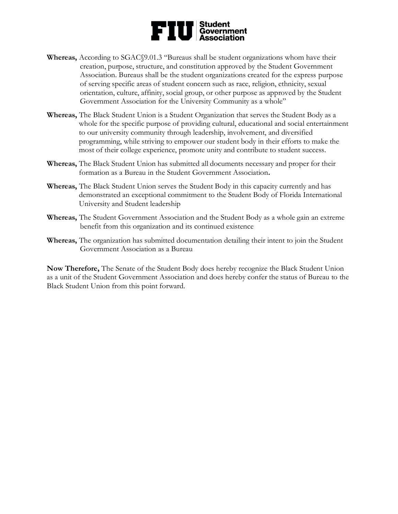

- **Whereas,** According to SGAC§9.01.3 "Bureaus shall be student organizations whom have their creation, purpose, structure, and constitution approved by the Student Government Association. Bureaus shall be the student organizations created for the express purpose of serving specific areas of student concern such as race, religion, ethnicity, sexual orientation, culture, affinity, social group, or other purpose as approved by the Student Government Association for the University Community as a whole"
- **Whereas,** The Black Student Union is a Student Organization that serves the Student Body as a whole for the specific purpose of providing cultural, educational and social entertainment to our university community through leadership, involvement, and diversified programming, while striving to empower our student body in their efforts to make the most of their college experience, promote unity and contribute to student success.
- **Whereas,** The Black Student Union has submitted all documents necessary and proper for their formation as a Bureau in the Student Government Association**.**
- **Whereas,** The Black Student Union serves the Student Body in this capacity currently and has demonstrated an exceptional commitment to the Student Body of Florida International University and Student leadership
- **Whereas,** The Student Government Association and the Student Body as a whole gain an extreme benefit from this organization and its continued existence
- **Whereas,** The organization has submitted documentation detailing their intent to join the Student Government Association as a Bureau

**Now Therefore,** The Senate of the Student Body does hereby recognize the Black Student Union as a unit of the Student Government Association and does hereby confer the status of Bureau to the Black Student Union from this point forward.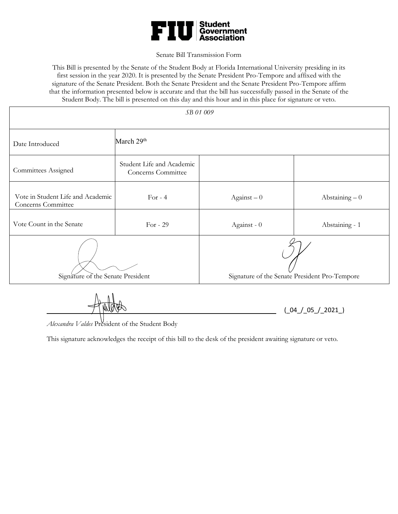

#### Senate Bill Transmission Form

This Bill is presented by the Senate of the Student Body at Florida International University presiding in its first session in the year 2020. It is presented by the Senate President Pro-Tempore and affixed with the signature of the Senate President. Both the Senate President and the Senate President Pro-Tempore affirm that the information presented below is accurate and that the bill has successfully passed in the Senate of the Student Body. The bill is presented on this day and this hour and in this place for signature or veto.

| SB 01 009                                               |                                                 |                                               |                 |
|---------------------------------------------------------|-------------------------------------------------|-----------------------------------------------|-----------------|
| Date Introduced                                         | March 29 <sup>th</sup>                          |                                               |                 |
| <b>Committees Assigned</b>                              | Student Life and Academic<br>Concerns Committee |                                               |                 |
| Vote in Student Life and Academic<br>Concerns Committee | For - $4$                                       | $Against-0$                                   | Abstaining $-0$ |
| Vote Count in the Senate                                | For - $29$                                      | Against - 0                                   | Abstaining - 1  |
| Signature of the Senate President                       |                                                 | Signature of the Senate President Pro-Tempore |                 |
|                                                         |                                                 |                                               |                 |

*Alexandra Valdes* President of the Student Body

MYQ

This signature acknowledges the receipt of this bill to the desk of the president awaiting signature or veto.

(\_04\_/\_05\_/\_2021\_)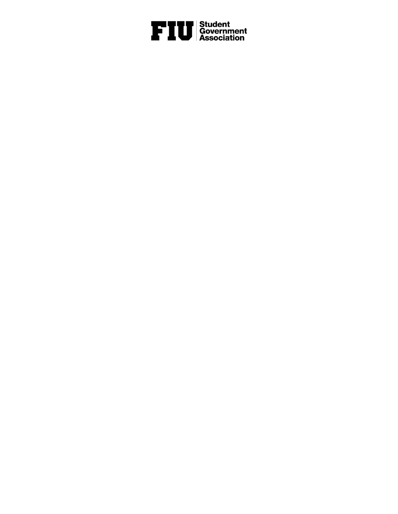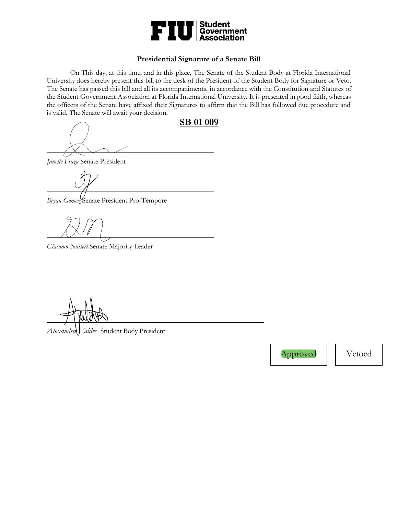

#### **Presidential Signature of a Senate Bill**

On This day, at this time, and in this place, The Senate of the Student Body at Florida International University does hereby present this bill to the desk of the President of the Student Body for Signature or Veto. The Senate has passed this bill and all its accompaniments, in accordance with the Constitution and Statutes of the Student Government Association at Florida International University. It is presented in good faith, whereas the officers of the Senate have affixed their Signatures to affirm that the Bill has followed due procedure and is valid. The Senate will await your decision.

### **SB 01 009**

*Janelle Fraga* Senate President

*Bryan Gomez* Senate President Pro-Tempore

*Giacomo Natteri* Senate Majority Leader

*Alexandra Valdes* Student Body President

Approved Vetoed